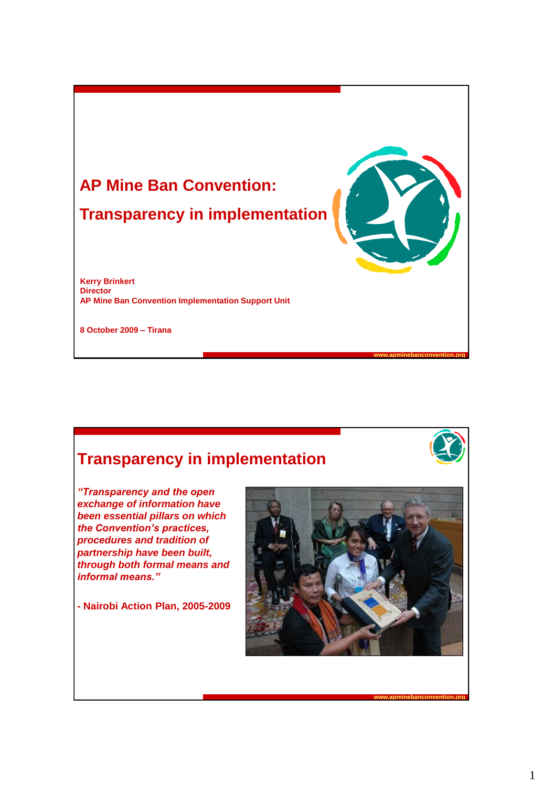

### **Transparency in implementation**



**www.apminebanconvention.org**

*"Transparency and the open exchange of information have been essential pillars on which the Convention's practices, procedures and tradition of partnership have been built, through both formal means and informal means."*

**- Nairobi Action Plan, 2005-2009**

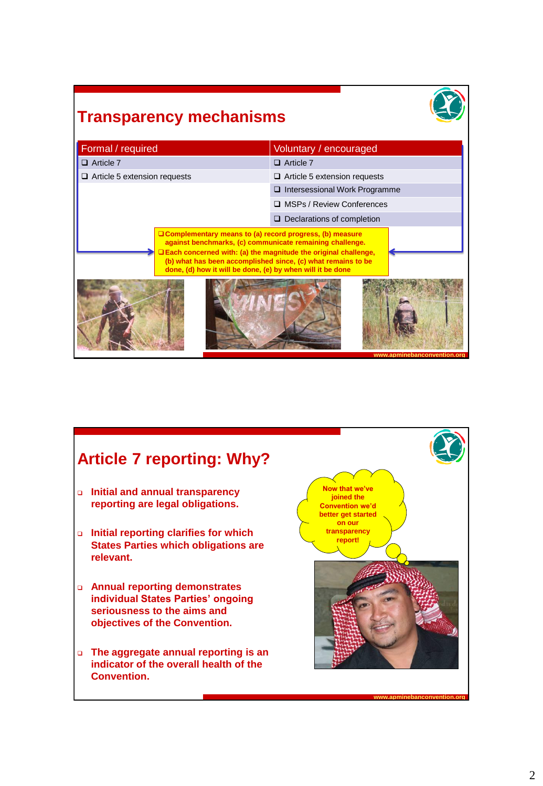# **Transparency mechanisms**

| Formal / required                                                                                                                                                                                                                                                                                                            | Voluntary / encouraged               |
|------------------------------------------------------------------------------------------------------------------------------------------------------------------------------------------------------------------------------------------------------------------------------------------------------------------------------|--------------------------------------|
| $\Box$ Article 7                                                                                                                                                                                                                                                                                                             | $\Box$ Article 7                     |
| $\Box$ Article 5 extension requests                                                                                                                                                                                                                                                                                          | $\Box$ Article 5 extension requests  |
|                                                                                                                                                                                                                                                                                                                              | $\Box$ Intersessional Work Programme |
|                                                                                                                                                                                                                                                                                                                              | □ MSPs / Review Conferences          |
|                                                                                                                                                                                                                                                                                                                              | $\Box$ Declarations of completion    |
| $\Box$ Complementary means to (a) record progress, (b) measure<br>against benchmarks, (c) communicate remaining challenge.<br>□ Each concerned with: (a) the magnitude the original challenge,<br>(b) what has been accomplished since, (c) what remains to be<br>done, (d) how it will be done, (e) by when will it be done |                                      |
|                                                                                                                                                                                                                                                                                                                              | www.apminebanconvention.org          |

### **www.apminebanconvention.org Initial and annual transparency reporting are legal obligations. Initial reporting clarifies for which States Parties which obligations are relevant. Annual reporting demonstrates individual States Parties' ongoing seriousness to the aims and objectives of the Convention. The aggregate annual reporting is an indicator of the overall health of the Convention. Article 7 reporting: Why? Now that we've joined the Convention we'd better get started on our transparency report!**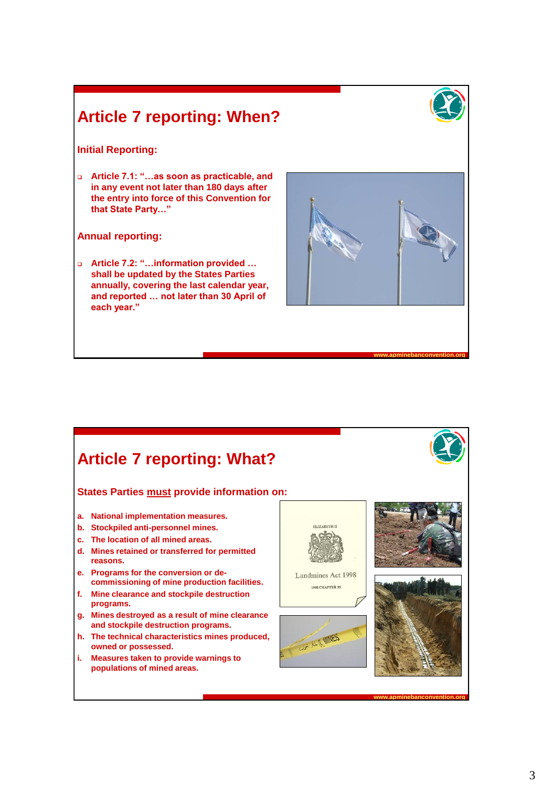# **Article 7 reporting: When?**



### **Initial Reporting:**

 **Article 7.1: "…as soon as practicable, and in any event not later than 180 days after the entry into force of this Convention for that State Party…"**

#### **Annual reporting:**

 **Article 7.2: "…information provided … shall be updated by the States Parties annually, covering the last calendar year, and reported … not later than 30 April of each year."**



**www.apminebanconvention.org**

**www.apminebanconvention.org**

### **Article 7 reporting: What? States Parties must provide information on:a. National implementation measures. b. Stockpiled anti-personnel mines.** ELIZABETH II **c. The location of all mined areas. d. Mines retained or transferred for permitted reasons. e. Programs for the conversion or de-**Landmines Act 1998 **commissioning of mine production facilities.** 1998 CHAPTER 33 **f. Mine clearance and stockpile destruction programs. g. Mines destroyed as a result of mine clearance and stockpile destruction programs. h. The technical characteristics mines produced,**  MINES **owned or possessed. i. Measures taken to provide warnings to populations of mined areas.**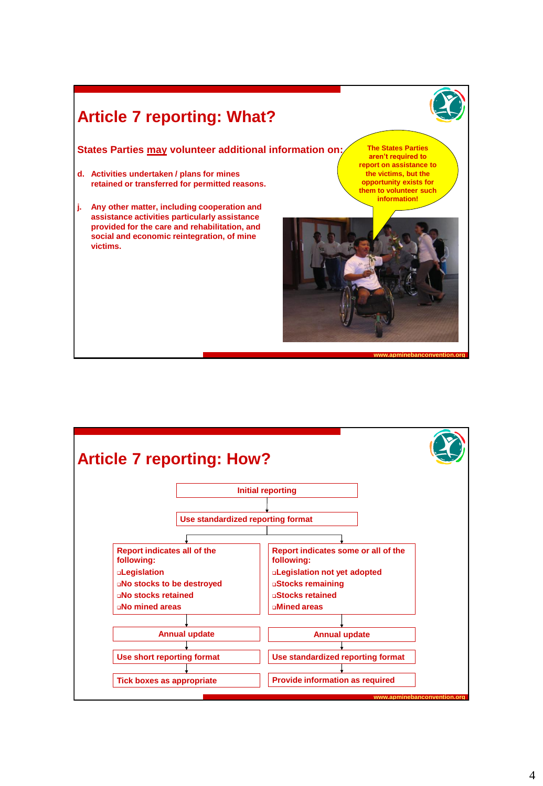# **Article 7 reporting: What?**

### **States Parties may volunteer additional information on: The States Parties**

- **d. Activities undertaken / plans for mines retained or transferred for permitted reasons.**
- **j. Any other matter, including cooperation and assistance activities particularly assistance provided for the care and rehabilitation, and social and economic reintegration, of mine victims.**

**aren't required to report on assistance to the victims, but the opportunity exists for them to volunteer such information!**



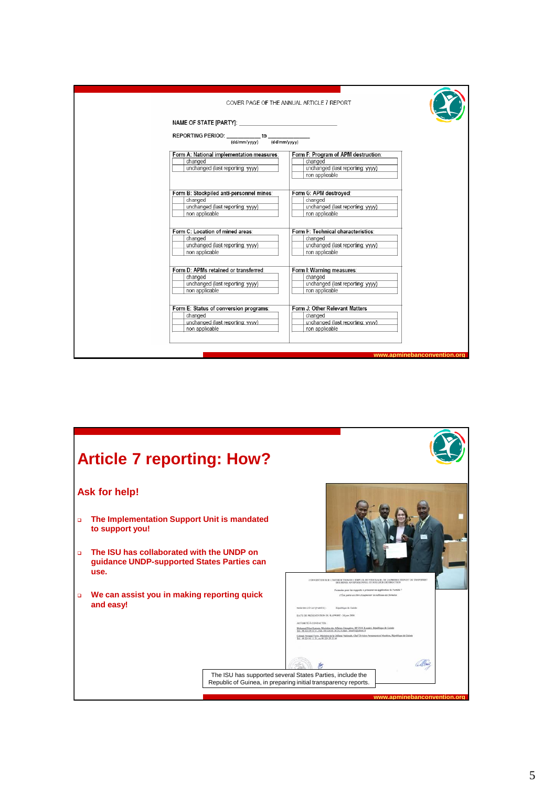|                                                                                    | COVER PAGE OF THE ANNUAL ARTICLE 7 REPORT      |
|------------------------------------------------------------------------------------|------------------------------------------------|
|                                                                                    |                                                |
| REPORTING PERIOD: $\frac{1}{\text{(dd/mm/yyy)}}$ to $\frac{1}{\text{(dd/mm/yyy)}}$ |                                                |
| Form A: National implementation measures:                                          |                                                |
| changed                                                                            | Form F: Program of APM destruction:<br>changed |
| unchanged (last reporting: yyyy)                                                   | unchanged (last reporting: yyyy)               |
|                                                                                    | non applicable                                 |
|                                                                                    |                                                |
| Form B: Stockpiled anti-personnel mines:                                           | Form G: APM destroyed:                         |
| changed                                                                            | changed                                        |
| unchanged (last reporting: yyyy)                                                   | unchanged (last reporting: yyyy)               |
| non applicable                                                                     | non applicable                                 |
| Form C: Location of mined areas:                                                   | Form H: Technical characteristics:             |
| changed                                                                            | changed                                        |
| unchanged (last reporting: yyyy)                                                   | unchanged (last reporting: yvyy)               |
| non applicable                                                                     | non applicable                                 |
| Form D: APMs retained or transferred:                                              | Form I: Warning measures:                      |
| changed                                                                            | changed                                        |
| unchanged (last reporting: yyyy)                                                   | unchanged (last reporting: yyyy)               |
| non applicable                                                                     | non applicable                                 |
|                                                                                    |                                                |
| Form E: Status of conversion programs:                                             | Form J: Other Relevant Matters                 |
| changed                                                                            | changed                                        |
| unchanged (last reporting: yyyy)                                                   | unchanged (last reporting: yyyy)               |
| non applicable                                                                     | non applicable                                 |
|                                                                                    |                                                |
|                                                                                    |                                                |
|                                                                                    | www.apminebanconvention.org                    |

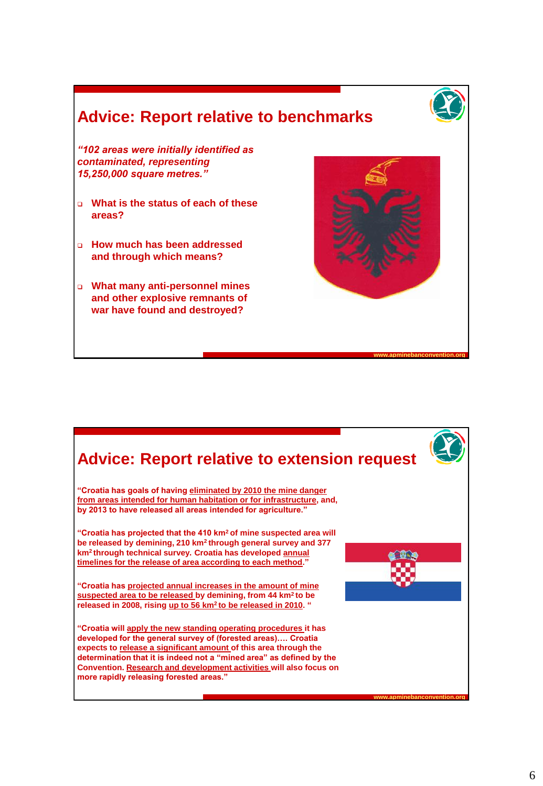# **Advice: Report relative to benchmarks**



**www.apminebanconvention.org**

*"102 areas were initially identified as contaminated, representing 15,250,000 square metres."*

- **What is the status of each of these areas?**
- **How much has been addressed and through which means?**
- **What many anti-personnel mines and other explosive remnants of war have found and destroyed?**

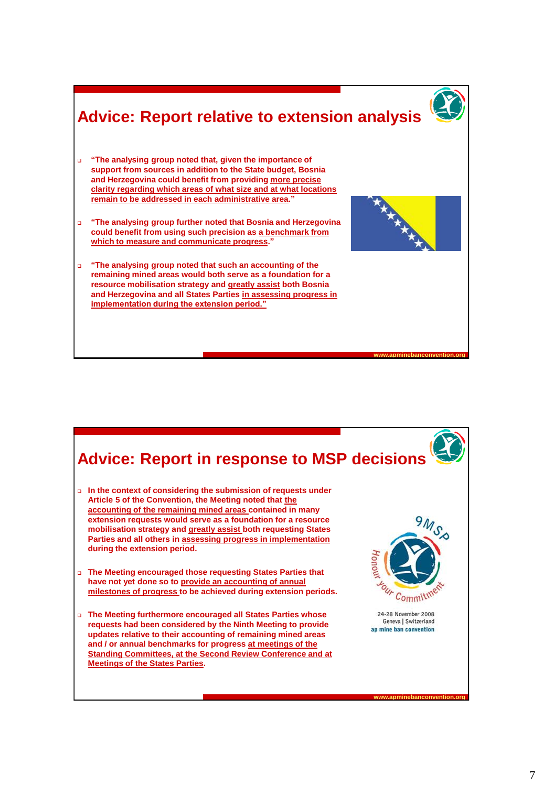### **www.apminebanconvention.org Advice: Report relative to extension analysis "The analysing group noted that, given the importance of support from sources in addition to the State budget, Bosnia and Herzegovina could benefit from providing more precise clarity regarding which areas of what size and at what locations remain to be addressed in each administrative area." "The analysing group further noted that Bosnia and Herzegovina could benefit from using such precision as a benchmark from which to measure and communicate progress." "The analysing group noted that such an accounting of the remaining mined areas would both serve as a foundation for a resource mobilisation strategy and greatly assist both Bosnia and Herzegovina and all States Parties in assessing progress in implementation during the extension period."**